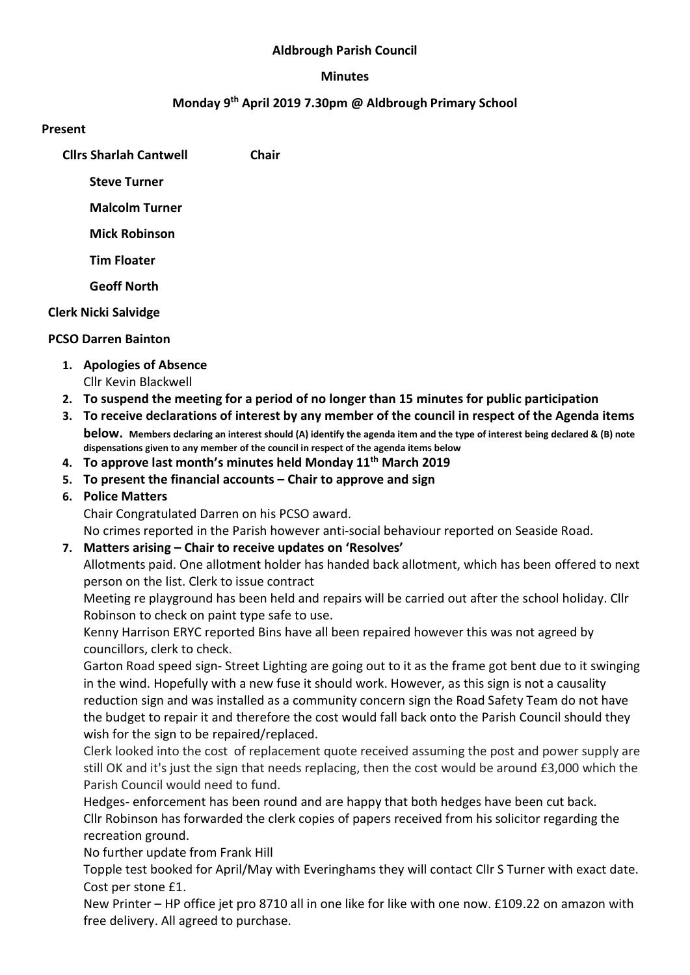#### Aldbrough Parish Council

#### Minutes

#### Monday 9th April 2019 7.30pm @ Aldbrough Primary School

#### Present

Cllrs Sharlah Cantwell Chair

Steve Turner

Malcolm Turner

Mick Robinson

Tim Floater

Geoff North

## Clerk Nicki Salvidge

## PCSO Darren Bainton

- 1. Apologies of Absence
	- Cllr Kevin Blackwell
- 2. To suspend the meeting for a period of no longer than 15 minutes for public participation
- 3. To receive declarations of interest by any member of the council in respect of the Agenda items below. Members declaring an interest should (A) identify the agenda item and the type of interest being declared & (B) note dispensations given to any member of the council in respect of the agenda items below
- 4. To approve last month's minutes held Monday  $11<sup>th</sup>$  March 2019
- 5. To present the financial accounts Chair to approve and sign

## 6. Police Matters

Chair Congratulated Darren on his PCSO award.

No crimes reported in the Parish however anti-social behaviour reported on Seaside Road.

## 7. Matters arising – Chair to receive updates on 'Resolves'

Allotments paid. One allotment holder has handed back allotment, which has been offered to next person on the list. Clerk to issue contract

Meeting re playground has been held and repairs will be carried out after the school holiday. Cllr Robinson to check on paint type safe to use.

Kenny Harrison ERYC reported Bins have all been repaired however this was not agreed by councillors, clerk to check.

Garton Road speed sign- Street Lighting are going out to it as the frame got bent due to it swinging in the wind. Hopefully with a new fuse it should work. However, as this sign is not a causality reduction sign and was installed as a community concern sign the Road Safety Team do not have the budget to repair it and therefore the cost would fall back onto the Parish Council should they wish for the sign to be repaired/replaced.

Clerk looked into the cost of replacement quote received assuming the post and power supply are still OK and it's just the sign that needs replacing, then the cost would be around £3,000 which the Parish Council would need to fund.

Hedges- enforcement has been round and are happy that both hedges have been cut back. Cllr Robinson has forwarded the clerk copies of papers received from his solicitor regarding the recreation ground.

No further update from Frank Hill

Topple test booked for April/May with Everinghams they will contact Cllr S Turner with exact date. Cost per stone £1.

New Printer – HP office jet pro 8710 all in one like for like with one now. £109.22 on amazon with free delivery. All agreed to purchase.